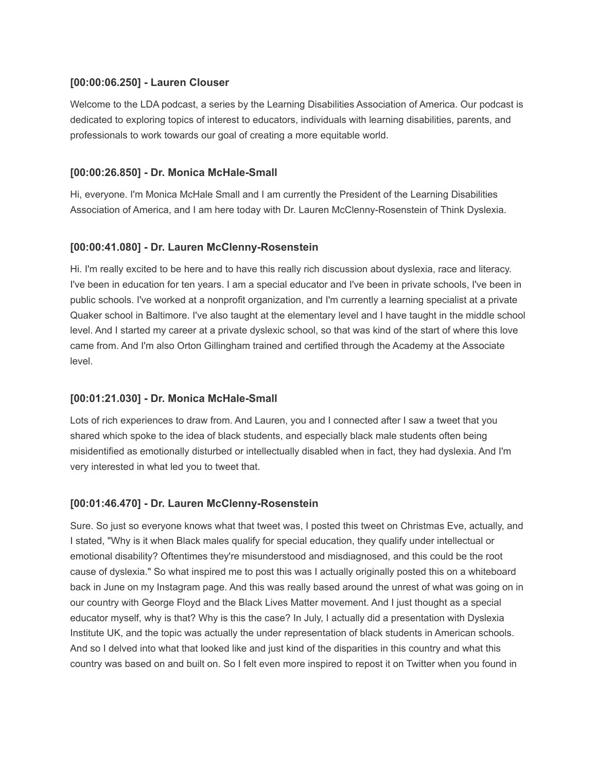## **[00:00:06.250] - Lauren Clouser**

Welcome to the LDA podcast, a series by the Learning Disabilities Association of America. Our podcast is dedicated to exploring topics of interest to educators, individuals with learning disabilities, parents, and professionals to work towards our goal of creating a more equitable world.

## **[00:00:26.850] - Dr. Monica McHale-Small**

Hi, everyone. I'm Monica McHale Small and I am currently the President of the Learning Disabilities Association of America, and I am here today with Dr. Lauren McClenny-Rosenstein of Think Dyslexia.

## **[00:00:41.080] - Dr. Lauren McClenny-Rosenstein**

Hi. I'm really excited to be here and to have this really rich discussion about dyslexia, race and literacy. I've been in education for ten years. I am a special educator and I've been in private schools, I've been in public schools. I've worked at a nonprofit organization, and I'm currently a learning specialist at a private Quaker school in Baltimore. I've also taught at the elementary level and I have taught in the middle school level. And I started my career at a private dyslexic school, so that was kind of the start of where this love came from. And I'm also Orton Gillingham trained and certified through the Academy at the Associate level.

### **[00:01:21.030] - Dr. Monica McHale-Small**

Lots of rich experiences to draw from. And Lauren, you and I connected after I saw a tweet that you shared which spoke to the idea of black students, and especially black male students often being misidentified as emotionally disturbed or intellectually disabled when in fact, they had dyslexia. And I'm very interested in what led you to tweet that.

### **[00:01:46.470] - Dr. Lauren McClenny-Rosenstein**

Sure. So just so everyone knows what that tweet was, I posted this tweet on Christmas Eve, actually, and I stated, "Why is it when Black males qualify for special education, they qualify under intellectual or emotional disability? Oftentimes they're misunderstood and misdiagnosed, and this could be the root cause of dyslexia." So what inspired me to post this was I actually originally posted this on a whiteboard back in June on my Instagram page. And this was really based around the unrest of what was going on in our country with George Floyd and the Black Lives Matter movement. And I just thought as a special educator myself, why is that? Why is this the case? In July, I actually did a presentation with Dyslexia Institute UK, and the topic was actually the under representation of black students in American schools. And so I delved into what that looked like and just kind of the disparities in this country and what this country was based on and built on. So I felt even more inspired to repost it on Twitter when you found in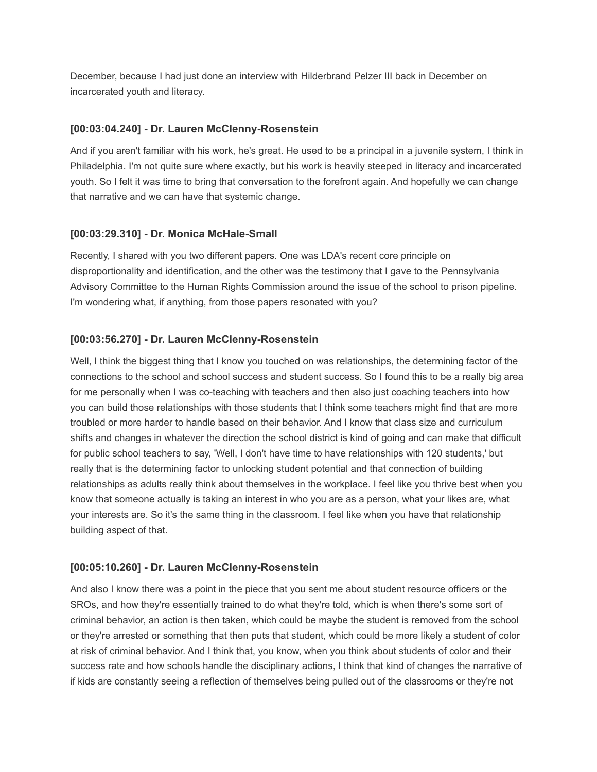December, because I had just done an interview with Hilderbrand Pelzer III back in December on incarcerated youth and literacy.

### **[00:03:04.240] - Dr. Lauren McClenny-Rosenstein**

And if you aren't familiar with his work, he's great. He used to be a principal in a juvenile system, I think in Philadelphia. I'm not quite sure where exactly, but his work is heavily steeped in literacy and incarcerated youth. So I felt it was time to bring that conversation to the forefront again. And hopefully we can change that narrative and we can have that systemic change.

## **[00:03:29.310] - Dr. Monica McHale-Small**

Recently, I shared with you two different papers. One was LDA's recent core principle on disproportionality and identification, and the other was the testimony that I gave to the Pennsylvania Advisory Committee to the Human Rights Commission around the issue of the school to prison pipeline. I'm wondering what, if anything, from those papers resonated with you?

## **[00:03:56.270] - Dr. Lauren McClenny-Rosenstein**

Well, I think the biggest thing that I know you touched on was relationships, the determining factor of the connections to the school and school success and student success. So I found this to be a really big area for me personally when I was co-teaching with teachers and then also just coaching teachers into how you can build those relationships with those students that I think some teachers might find that are more troubled or more harder to handle based on their behavior. And I know that class size and curriculum shifts and changes in whatever the direction the school district is kind of going and can make that difficult for public school teachers to say, 'Well, I don't have time to have relationships with 120 students,' but really that is the determining factor to unlocking student potential and that connection of building relationships as adults really think about themselves in the workplace. I feel like you thrive best when you know that someone actually is taking an interest in who you are as a person, what your likes are, what your interests are. So it's the same thing in the classroom. I feel like when you have that relationship building aspect of that.

# **[00:05:10.260] - Dr. Lauren McClenny-Rosenstein**

And also I know there was a point in the piece that you sent me about student resource officers or the SROs, and how they're essentially trained to do what they're told, which is when there's some sort of criminal behavior, an action is then taken, which could be maybe the student is removed from the school or they're arrested or something that then puts that student, which could be more likely a student of color at risk of criminal behavior. And I think that, you know, when you think about students of color and their success rate and how schools handle the disciplinary actions, I think that kind of changes the narrative of if kids are constantly seeing a reflection of themselves being pulled out of the classrooms or they're not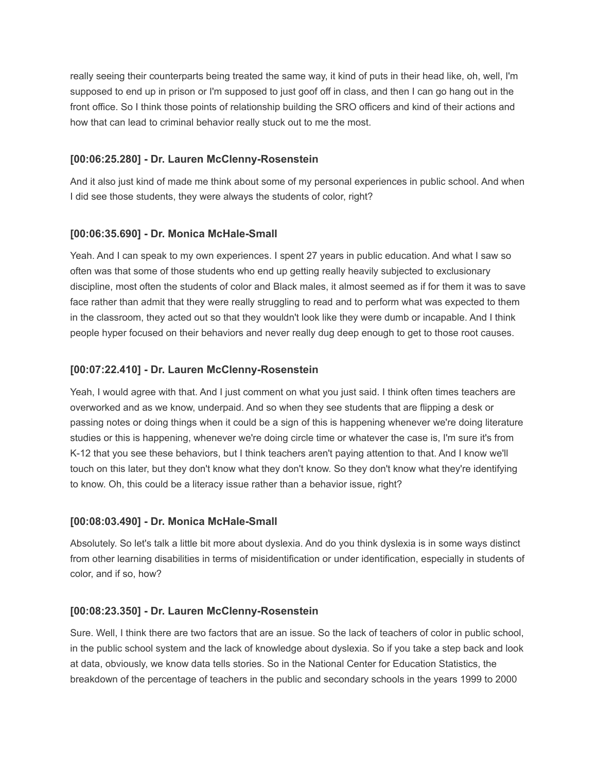really seeing their counterparts being treated the same way, it kind of puts in their head like, oh, well, I'm supposed to end up in prison or I'm supposed to just goof off in class, and then I can go hang out in the front office. So I think those points of relationship building the SRO officers and kind of their actions and how that can lead to criminal behavior really stuck out to me the most.

### **[00:06:25.280] - Dr. Lauren McClenny-Rosenstein**

And it also just kind of made me think about some of my personal experiences in public school. And when I did see those students, they were always the students of color, right?

### **[00:06:35.690] - Dr. Monica McHale-Small**

Yeah. And I can speak to my own experiences. I spent 27 years in public education. And what I saw so often was that some of those students who end up getting really heavily subjected to exclusionary discipline, most often the students of color and Black males, it almost seemed as if for them it was to save face rather than admit that they were really struggling to read and to perform what was expected to them in the classroom, they acted out so that they wouldn't look like they were dumb or incapable. And I think people hyper focused on their behaviors and never really dug deep enough to get to those root causes.

### **[00:07:22.410] - Dr. Lauren McClenny-Rosenstein**

Yeah, I would agree with that. And I just comment on what you just said. I think often times teachers are overworked and as we know, underpaid. And so when they see students that are flipping a desk or passing notes or doing things when it could be a sign of this is happening whenever we're doing literature studies or this is happening, whenever we're doing circle time or whatever the case is, I'm sure it's from K-12 that you see these behaviors, but I think teachers aren't paying attention to that. And I know we'll touch on this later, but they don't know what they don't know. So they don't know what they're identifying to know. Oh, this could be a literacy issue rather than a behavior issue, right?

#### **[00:08:03.490] - Dr. Monica McHale-Small**

Absolutely. So let's talk a little bit more about dyslexia. And do you think dyslexia is in some ways distinct from other learning disabilities in terms of misidentification or under identification, especially in students of color, and if so, how?

#### **[00:08:23.350] - Dr. Lauren McClenny-Rosenstein**

Sure. Well, I think there are two factors that are an issue. So the lack of teachers of color in public school, in the public school system and the lack of knowledge about dyslexia. So if you take a step back and look at data, obviously, we know data tells stories. So in the National Center for Education Statistics, the breakdown of the percentage of teachers in the public and secondary schools in the years 1999 to 2000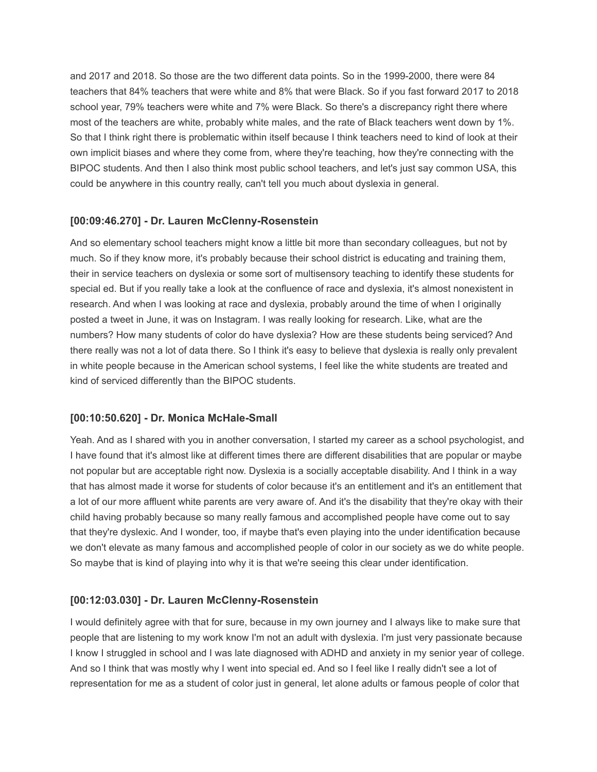and 2017 and 2018. So those are the two different data points. So in the 1999-2000, there were 84 teachers that 84% teachers that were white and 8% that were Black. So if you fast forward 2017 to 2018 school year, 79% teachers were white and 7% were Black. So there's a discrepancy right there where most of the teachers are white, probably white males, and the rate of Black teachers went down by 1%. So that I think right there is problematic within itself because I think teachers need to kind of look at their own implicit biases and where they come from, where they're teaching, how they're connecting with the BIPOC students. And then I also think most public school teachers, and let's just say common USA, this could be anywhere in this country really, can't tell you much about dyslexia in general.

## **[00:09:46.270] - Dr. Lauren McClenny-Rosenstein**

And so elementary school teachers might know a little bit more than secondary colleagues, but not by much. So if they know more, it's probably because their school district is educating and training them, their in service teachers on dyslexia or some sort of multisensory teaching to identify these students for special ed. But if you really take a look at the confluence of race and dyslexia, it's almost nonexistent in research. And when I was looking at race and dyslexia, probably around the time of when I originally posted a tweet in June, it was on Instagram. I was really looking for research. Like, what are the numbers? How many students of color do have dyslexia? How are these students being serviced? And there really was not a lot of data there. So I think it's easy to believe that dyslexia is really only prevalent in white people because in the American school systems, I feel like the white students are treated and kind of serviced differently than the BIPOC students.

### **[00:10:50.620] - Dr. Monica McHale-Small**

Yeah. And as I shared with you in another conversation, I started my career as a school psychologist, and I have found that it's almost like at different times there are different disabilities that are popular or maybe not popular but are acceptable right now. Dyslexia is a socially acceptable disability. And I think in a way that has almost made it worse for students of color because it's an entitlement and it's an entitlement that a lot of our more affluent white parents are very aware of. And it's the disability that they're okay with their child having probably because so many really famous and accomplished people have come out to say that they're dyslexic. And I wonder, too, if maybe that's even playing into the under identification because we don't elevate as many famous and accomplished people of color in our society as we do white people. So maybe that is kind of playing into why it is that we're seeing this clear under identification.

# **[00:12:03.030] - Dr. Lauren McClenny-Rosenstein**

I would definitely agree with that for sure, because in my own journey and I always like to make sure that people that are listening to my work know I'm not an adult with dyslexia. I'm just very passionate because I know I struggled in school and I was late diagnosed with ADHD and anxiety in my senior year of college. And so I think that was mostly why I went into special ed. And so I feel like I really didn't see a lot of representation for me as a student of color just in general, let alone adults or famous people of color that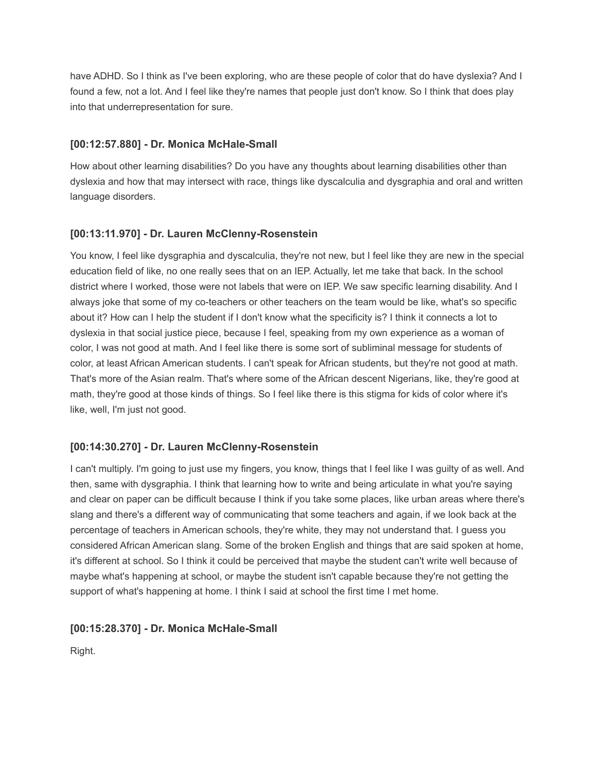have ADHD. So I think as I've been exploring, who are these people of color that do have dyslexia? And I found a few, not a lot. And I feel like they're names that people just don't know. So I think that does play into that underrepresentation for sure.

## **[00:12:57.880] - Dr. Monica McHale-Small**

How about other learning disabilities? Do you have any thoughts about learning disabilities other than dyslexia and how that may intersect with race, things like dyscalculia and dysgraphia and oral and written language disorders.

## **[00:13:11.970] - Dr. Lauren McClenny-Rosenstein**

You know, I feel like dysgraphia and dyscalculia, they're not new, but I feel like they are new in the special education field of like, no one really sees that on an IEP. Actually, let me take that back. In the school district where I worked, those were not labels that were on IEP. We saw specific learning disability. And I always joke that some of my co-teachers or other teachers on the team would be like, what's so specific about it? How can I help the student if I don't know what the specificity is? I think it connects a lot to dyslexia in that social justice piece, because I feel, speaking from my own experience as a woman of color, I was not good at math. And I feel like there is some sort of subliminal message for students of color, at least African American students. I can't speak for African students, but they're not good at math. That's more of the Asian realm. That's where some of the African descent Nigerians, like, they're good at math, they're good at those kinds of things. So I feel like there is this stigma for kids of color where it's like, well, I'm just not good.

### **[00:14:30.270] - Dr. Lauren McClenny-Rosenstein**

I can't multiply. I'm going to just use my fingers, you know, things that I feel like I was guilty of as well. And then, same with dysgraphia. I think that learning how to write and being articulate in what you're saying and clear on paper can be difficult because I think if you take some places, like urban areas where there's slang and there's a different way of communicating that some teachers and again, if we look back at the percentage of teachers in American schools, they're white, they may not understand that. I guess you considered African American slang. Some of the broken English and things that are said spoken at home, it's different at school. So I think it could be perceived that maybe the student can't write well because of maybe what's happening at school, or maybe the student isn't capable because they're not getting the support of what's happening at home. I think I said at school the first time I met home.

### **[00:15:28.370] - Dr. Monica McHale-Small**

Right.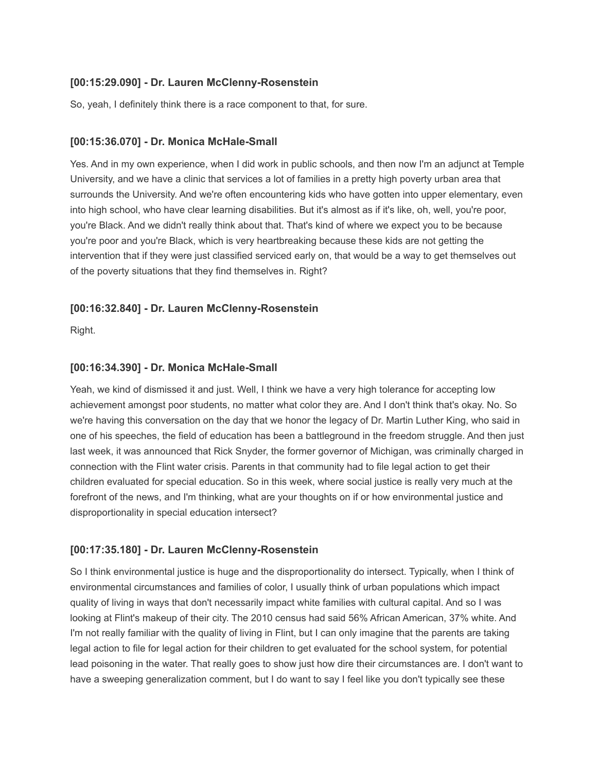## **[00:15:29.090] - Dr. Lauren McClenny-Rosenstein**

So, yeah, I definitely think there is a race component to that, for sure.

## **[00:15:36.070] - Dr. Monica McHale-Small**

Yes. And in my own experience, when I did work in public schools, and then now I'm an adjunct at Temple University, and we have a clinic that services a lot of families in a pretty high poverty urban area that surrounds the University. And we're often encountering kids who have gotten into upper elementary, even into high school, who have clear learning disabilities. But it's almost as if it's like, oh, well, you're poor, you're Black. And we didn't really think about that. That's kind of where we expect you to be because you're poor and you're Black, which is very heartbreaking because these kids are not getting the intervention that if they were just classified serviced early on, that would be a way to get themselves out of the poverty situations that they find themselves in. Right?

# **[00:16:32.840] - Dr. Lauren McClenny-Rosenstein**

Right.

## **[00:16:34.390] - Dr. Monica McHale-Small**

Yeah, we kind of dismissed it and just. Well, I think we have a very high tolerance for accepting low achievement amongst poor students, no matter what color they are. And I don't think that's okay. No. So we're having this conversation on the day that we honor the legacy of Dr. Martin Luther King, who said in one of his speeches, the field of education has been a battleground in the freedom struggle. And then just last week, it was announced that Rick Snyder, the former governor of Michigan, was criminally charged in connection with the Flint water crisis. Parents in that community had to file legal action to get their children evaluated for special education. So in this week, where social justice is really very much at the forefront of the news, and I'm thinking, what are your thoughts on if or how environmental justice and disproportionality in special education intersect?

# **[00:17:35.180] - Dr. Lauren McClenny-Rosenstein**

So I think environmental justice is huge and the disproportionality do intersect. Typically, when I think of environmental circumstances and families of color, I usually think of urban populations which impact quality of living in ways that don't necessarily impact white families with cultural capital. And so I was looking at Flint's makeup of their city. The 2010 census had said 56% African American, 37% white. And I'm not really familiar with the quality of living in Flint, but I can only imagine that the parents are taking legal action to file for legal action for their children to get evaluated for the school system, for potential lead poisoning in the water. That really goes to show just how dire their circumstances are. I don't want to have a sweeping generalization comment, but I do want to say I feel like you don't typically see these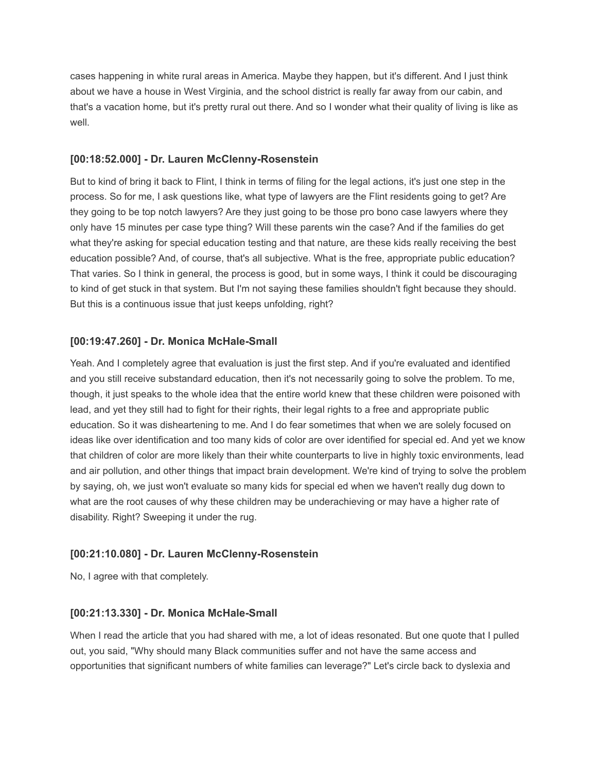cases happening in white rural areas in America. Maybe they happen, but it's different. And I just think about we have a house in West Virginia, and the school district is really far away from our cabin, and that's a vacation home, but it's pretty rural out there. And so I wonder what their quality of living is like as well.

### **[00:18:52.000] - Dr. Lauren McClenny-Rosenstein**

But to kind of bring it back to Flint, I think in terms of filing for the legal actions, it's just one step in the process. So for me, I ask questions like, what type of lawyers are the Flint residents going to get? Are they going to be top notch lawyers? Are they just going to be those pro bono case lawyers where they only have 15 minutes per case type thing? Will these parents win the case? And if the families do get what they're asking for special education testing and that nature, are these kids really receiving the best education possible? And, of course, that's all subjective. What is the free, appropriate public education? That varies. So I think in general, the process is good, but in some ways, I think it could be discouraging to kind of get stuck in that system. But I'm not saying these families shouldn't fight because they should. But this is a continuous issue that just keeps unfolding, right?

### **[00:19:47.260] - Dr. Monica McHale-Small**

Yeah. And I completely agree that evaluation is just the first step. And if you're evaluated and identified and you still receive substandard education, then it's not necessarily going to solve the problem. To me, though, it just speaks to the whole idea that the entire world knew that these children were poisoned with lead, and yet they still had to fight for their rights, their legal rights to a free and appropriate public education. So it was disheartening to me. And I do fear sometimes that when we are solely focused on ideas like over identification and too many kids of color are over identified for special ed. And yet we know that children of color are more likely than their white counterparts to live in highly toxic environments, lead and air pollution, and other things that impact brain development. We're kind of trying to solve the problem by saying, oh, we just won't evaluate so many kids for special ed when we haven't really dug down to what are the root causes of why these children may be underachieving or may have a higher rate of disability. Right? Sweeping it under the rug.

### **[00:21:10.080] - Dr. Lauren McClenny-Rosenstein**

No, I agree with that completely.

#### **[00:21:13.330] - Dr. Monica McHale-Small**

When I read the article that you had shared with me, a lot of ideas resonated. But one quote that I pulled out, you said, "Why should many Black communities suffer and not have the same access and opportunities that significant numbers of white families can leverage?" Let's circle back to dyslexia and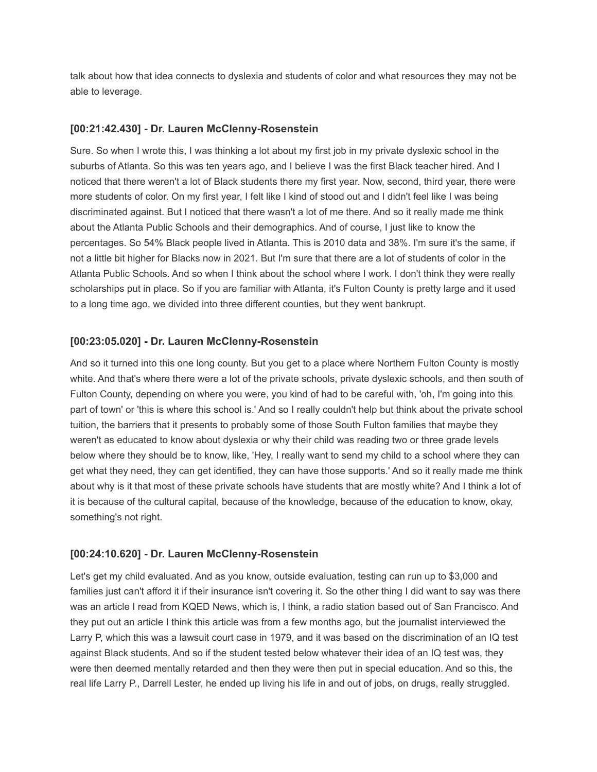talk about how that idea connects to dyslexia and students of color and what resources they may not be able to leverage.

### **[00:21:42.430] - Dr. Lauren McClenny-Rosenstein**

Sure. So when I wrote this, I was thinking a lot about my first job in my private dyslexic school in the suburbs of Atlanta. So this was ten years ago, and I believe I was the first Black teacher hired. And I noticed that there weren't a lot of Black students there my first year. Now, second, third year, there were more students of color. On my first year, I felt like I kind of stood out and I didn't feel like I was being discriminated against. But I noticed that there wasn't a lot of me there. And so it really made me think about the Atlanta Public Schools and their demographics. And of course, I just like to know the percentages. So 54% Black people lived in Atlanta. This is 2010 data and 38%. I'm sure it's the same, if not a little bit higher for Blacks now in 2021. But I'm sure that there are a lot of students of color in the Atlanta Public Schools. And so when I think about the school where I work. I don't think they were really scholarships put in place. So if you are familiar with Atlanta, it's Fulton County is pretty large and it used to a long time ago, we divided into three different counties, but they went bankrupt.

### **[00:23:05.020] - Dr. Lauren McClenny-Rosenstein**

And so it turned into this one long county. But you get to a place where Northern Fulton County is mostly white. And that's where there were a lot of the private schools, private dyslexic schools, and then south of Fulton County, depending on where you were, you kind of had to be careful with, 'oh, I'm going into this part of town' or 'this is where this school is.' And so I really couldn't help but think about the private school tuition, the barriers that it presents to probably some of those South Fulton families that maybe they weren't as educated to know about dyslexia or why their child was reading two or three grade levels below where they should be to know, like, 'Hey, I really want to send my child to a school where they can get what they need, they can get identified, they can have those supports.' And so it really made me think about why is it that most of these private schools have students that are mostly white? And I think a lot of it is because of the cultural capital, because of the knowledge, because of the education to know, okay, something's not right.

#### **[00:24:10.620] - Dr. Lauren McClenny-Rosenstein**

Let's get my child evaluated. And as you know, outside evaluation, testing can run up to \$3,000 and families just can't afford it if their insurance isn't covering it. So the other thing I did want to say was there was an article I read from KQED News, which is, I think, a radio station based out of San Francisco. And they put out an article I think this article was from a few months ago, but the journalist interviewed the Larry P, which this was a lawsuit court case in 1979, and it was based on the discrimination of an IQ test against Black students. And so if the student tested below whatever their idea of an IQ test was, they were then deemed mentally retarded and then they were then put in special education. And so this, the real life Larry P., Darrell Lester, he ended up living his life in and out of jobs, on drugs, really struggled.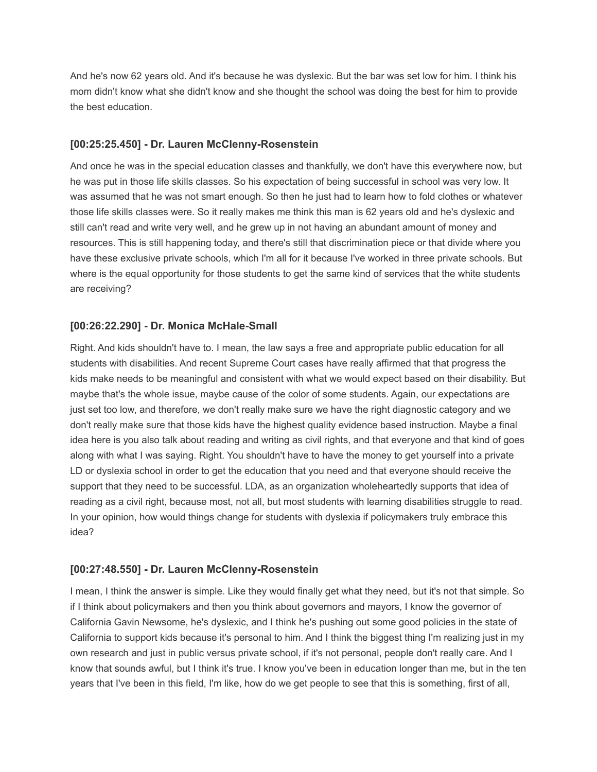And he's now 62 years old. And it's because he was dyslexic. But the bar was set low for him. I think his mom didn't know what she didn't know and she thought the school was doing the best for him to provide the best education.

### **[00:25:25.450] - Dr. Lauren McClenny-Rosenstein**

And once he was in the special education classes and thankfully, we don't have this everywhere now, but he was put in those life skills classes. So his expectation of being successful in school was very low. It was assumed that he was not smart enough. So then he just had to learn how to fold clothes or whatever those life skills classes were. So it really makes me think this man is 62 years old and he's dyslexic and still can't read and write very well, and he grew up in not having an abundant amount of money and resources. This is still happening today, and there's still that discrimination piece or that divide where you have these exclusive private schools, which I'm all for it because I've worked in three private schools. But where is the equal opportunity for those students to get the same kind of services that the white students are receiving?

### **[00:26:22.290] - Dr. Monica McHale-Small**

Right. And kids shouldn't have to. I mean, the law says a free and appropriate public education for all students with disabilities. And recent Supreme Court cases have really affirmed that that progress the kids make needs to be meaningful and consistent with what we would expect based on their disability. But maybe that's the whole issue, maybe cause of the color of some students. Again, our expectations are just set too low, and therefore, we don't really make sure we have the right diagnostic category and we don't really make sure that those kids have the highest quality evidence based instruction. Maybe a final idea here is you also talk about reading and writing as civil rights, and that everyone and that kind of goes along with what I was saying. Right. You shouldn't have to have the money to get yourself into a private LD or dyslexia school in order to get the education that you need and that everyone should receive the support that they need to be successful. LDA, as an organization wholeheartedly supports that idea of reading as a civil right, because most, not all, but most students with learning disabilities struggle to read. In your opinion, how would things change for students with dyslexia if policymakers truly embrace this idea?

### **[00:27:48.550] - Dr. Lauren McClenny-Rosenstein**

I mean, I think the answer is simple. Like they would finally get what they need, but it's not that simple. So if I think about policymakers and then you think about governors and mayors, I know the governor of California Gavin Newsome, he's dyslexic, and I think he's pushing out some good policies in the state of California to support kids because it's personal to him. And I think the biggest thing I'm realizing just in my own research and just in public versus private school, if it's not personal, people don't really care. And I know that sounds awful, but I think it's true. I know you've been in education longer than me, but in the ten years that I've been in this field, I'm like, how do we get people to see that this is something, first of all,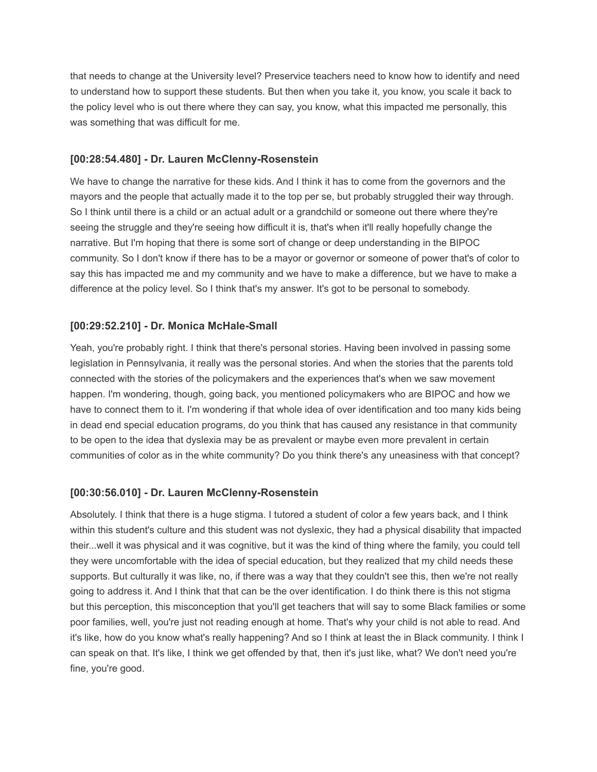that needs to change at the University level? Preservice teachers need to know how to identify and need to understand how to support these students. But then when you take it, you know, you scale it back to the policy level who is out there where they can say, you know, what this impacted me personally, this was something that was difficult for me.

### **[00:28:54.480] - Dr. Lauren McClenny-Rosenstein**

We have to change the narrative for these kids. And I think it has to come from the governors and the mayors and the people that actually made it to the top per se, but probably struggled their way through. So I think until there is a child or an actual adult or a grandchild or someone out there where they're seeing the struggle and they're seeing how difficult it is, that's when it'll really hopefully change the narrative. But I'm hoping that there is some sort of change or deep understanding in the BIPOC community. So I don't know if there has to be a mayor or governor or someone of power that's of color to say this has impacted me and my community and we have to make a difference, but we have to make a difference at the policy level. So I think that's my answer. It's got to be personal to somebody.

### **[00:29:52.210] - Dr. Monica McHale-Small**

Yeah, you're probably right. I think that there's personal stories. Having been involved in passing some legislation in Pennsylvania, it really was the personal stories. And when the stories that the parents told connected with the stories of the policymakers and the experiences that's when we saw movement happen. I'm wondering, though, going back, you mentioned policymakers who are BIPOC and how we have to connect them to it. I'm wondering if that whole idea of over identification and too many kids being in dead end special education programs, do you think that has caused any resistance in that community to be open to the idea that dyslexia may be as prevalent or maybe even more prevalent in certain communities of color as in the white community? Do you think there's any uneasiness with that concept?

### **[00:30:56.010] - Dr. Lauren McClenny-Rosenstein**

Absolutely. I think that there is a huge stigma. I tutored a student of color a few years back, and I think within this student's culture and this student was not dyslexic, they had a physical disability that impacted their...well it was physical and it was cognitive, but it was the kind of thing where the family, you could tell they were uncomfortable with the idea of special education, but they realized that my child needs these supports. But culturally it was like, no, if there was a way that they couldn't see this, then we're not really going to address it. And I think that that can be the over identification. I do think there is this not stigma but this perception, this misconception that you'll get teachers that will say to some Black families or some poor families, well, you're just not reading enough at home. That's why your child is not able to read. And it's like, how do you know what's really happening? And so I think at least the in Black community. I think I can speak on that. It's like, I think we get offended by that, then it's just like, what? We don't need you're fine, you're good.